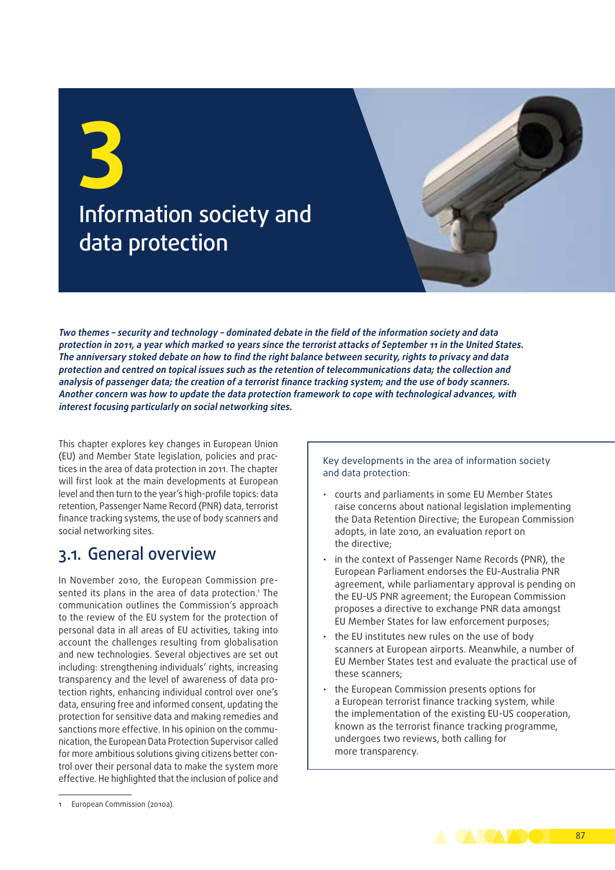**3** Information society and data protection

**Two themes – security and technology – dominated debate in the field of the information society and data protection in 2011, a year which marked 10 years since the terrorist attacks of September 11 in the United States. The anniversary stoked debate on how to find the right balance between security, rights to privacy and data protection and centred on topical issues such as the retention of telecommunications data; the collection and analysis of passenger data; the creation of a terrorist finance tracking system; and the use of body scanners. Another concern was how to update the data protection framework to cope with technological advances, with interest focusing particularly on social networking sites.**

This chapter explores key changes in European Union (EU) and Member State legislation, policies and practices in the area of data protection in 2011. The chapter will first look at the main developments at European level and then turn to the year's high-profile topics: data retention, Passenger Name Record (PNR) data, terrorist finance tracking systems, the use of body scanners and social networking sites.

### 3.1. General overview

In November 2010, the European Commission presented its plans in the area of data protection.1 The communication outlines the Commission's approach to the review of the EU system for the protection of personal data in all areas of EU activities, taking into account the challenges resulting from globalisation and new technologies. Several objectives are set out including: strengthening individuals' rights, increasing transparency and the level of awareness of data protection rights, enhancing individual control over one's data, ensuring free and informed consent, updating the protection for sensitive data and making remedies and sanctions more effective. In his opinion on the communication, the European Data Protection Supervisor called for more ambitious solutions giving citizens better control over their personal data to make the system more effective. He highlighted that the inclusion of police and

Key developments in the area of information society and data protection:

- courts and parliaments in some EU Member States raise concerns about national legislation implementing the Data Retention Directive; the European Commission adopts, in late 2010, an evaluation report on the directive;
- in the context of Passenger Name Records (PNR), the European Parliament endorses the EU‑Australia PNR agreement, while parliamentary approval is pending on the EU‑US PNR agreement; the European Commission proposes a directive to exchange PNR data amongst EU Member States for law enforcement purposes;
- the EU institutes new rules on the use of body scanners at European airports. Meanwhile, a number of EU Member States test and evaluate the practical use of these scanners;
- • the European Commission presents options for a European terrorist finance tracking system, while the implementation of the existing EU‑US cooperation, known as the terrorist finance tracking programme, undergoes two reviews, both calling for more transparency.



<sup>1</sup> European Commission (2010a).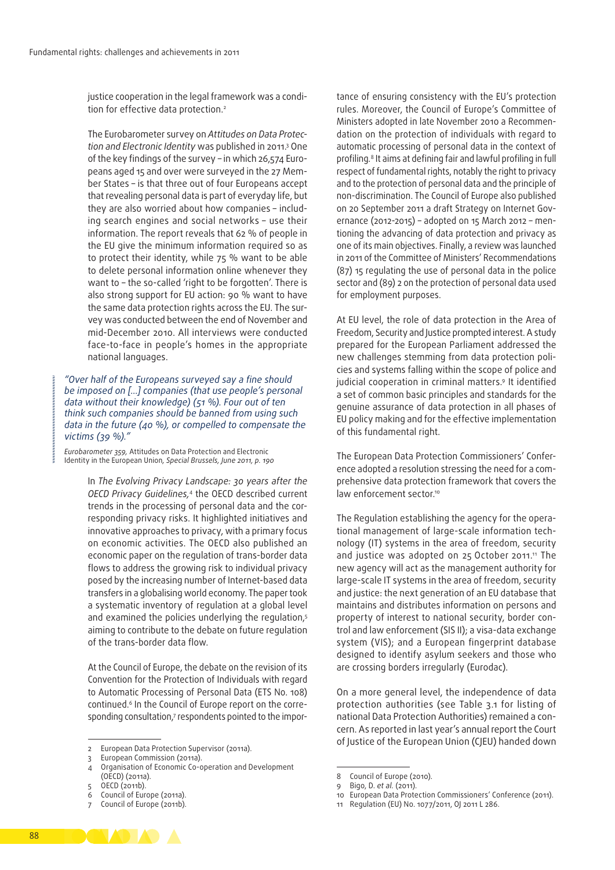justice cooperation in the legal framework was a condition for effective data protection.<sup>2</sup>

The Eurobarometer survey on *Attitudes on Data Protec‑ tion and Electronic Identity* was published in 2011.3 One of the key findings of the survey - in which 26,574 Europeans aged 15 and over were surveyed in the 27 Member States – is that three out of four Europeans accept that revealing personal data is part of everyday life, but they are also worried about how companies - including search engines and social networks – use their information. The report reveals that 62 % of people in the EU give the minimum information required so as to protect their identity, while 75 % want to be able to delete personal information online whenever they want to - the so-called 'right to be forgotten'. There is also strong support for EU action: 90 % want to have the same data protection rights across the EU. The survey was conducted between the end of November and mid‑December 2010. All interviews were conducted face-to-face in people's homes in the appropriate national languages.

*"Over half of the Europeans surveyed say a fine should be imposed on […] companies (that use people's personal data without their knowledge) (51 %). Four out of ten think such companies should be banned from using such data in the future (40 %), or compelled to compensate the victims (39 %)."*

*Eurobarometer 359,* Attitudes on Data Protection and Electronic Identity in the European Union*, Special Brussels, June 2011, p. 190*

> In *The Evolving Privacy Landscape: 30 years after the OECD Privacy Guidelines,*4 the OECD described current trends in the processing of personal data and the corresponding privacy risks. It highlighted initiatives and innovative approaches to privacy, with a primary focus on economic activities. The OECD also published an economic paper on the regulation of trans‑border data flows to address the growing risk to individual privacy posed by the increasing number of Internet-based data transfers in a globalising world economy. The paper took a systematic inventory of regulation at a global level and examined the policies underlying the regulation,<sup>5</sup> aiming to contribute to the debate on future regulation of the trans‑border data flow.

> At the Council of Europe, the debate on the revision of its Convention for the Protection of Individuals with regard to Automatic Processing of Personal Data (ETS No. 108) continued.<sup>6</sup> In the Council of Europe report on the corresponding consultation,<sup>7</sup> respondents pointed to the impor

tance of ensuring consistency with the EU's protection rules. Moreover, the Council of Europe's Committee of Ministers adopted in late November 2010 a Recommendation on the protection of individuals with regard to automatic processing of personal data in the context of profiling*.* 8 It aims at defining fair and lawful profiling in full respect of fundamental rights, notably the right to privacy and to the protection of personal data and the principle of non‑discrimination. The Council of Europe also published on 20 September 2011 a draft Strategy on Internet Governance (2012-2015) – adopted on 15 March 2012 – mentioning the advancing of data protection and privacy as one of its main objectives. Finally, a review was launched in 2011 of the Committee of Ministers' Recommendations (87) 15 regulating the use of personal data in the police sector and (89) 2 on the protection of personal data used for employment purposes.

At EU level, the role of data protection in the Area of Freedom, Security and Justice prompted interest. A study prepared for the European Parliament addressed the new challenges stemming from data protection policies and systems falling within the scope of police and judicial cooperation in criminal matters.<sup>9</sup> It identified a set of common basic principles and standards for the genuine assurance of data protection in all phases of EU policy making and for the effective implementation of this fundamental right.

The European Data Protection Commissioners' Conference adopted a resolution stressing the need for a comprehensive data protection framework that covers the law enforcement sector.<sup>10</sup>

The Regulation establishing the agency for the operational management of large-scale information technology (IT) systems in the area of freedom, security and justice was adopted on 25 October 2011.<sup>11</sup> The new agency will act as the management authority for large‑scale IT systems in the area of freedom, security and justice: the next generation of an EU database that maintains and distributes information on persons and property of interest to national security, border control and law enforcement (SIS II); a visa‑data exchange system (VIS); and a European fingerprint database designed to identify asylum seekers and those who are crossing borders irregularly (Eurodac).

On a more general level, the independence of data protection authorities (see Table 3.1 for listing of national Data Protection Authorities) remained a concern. As reported in last year's annual report the Court of Justice of the European Union (CJEU) handed down



<sup>2</sup> European Data Protection Supervisor (2011a).

<sup>3</sup> European Commission (2011a).

Organisation of Economic Co-operation and Development (OECD) (2011a).

<sup>5</sup> OECD (2011b). 6 Council of Europe (2011a).

<sup>7</sup> Council of Europe (2011b).

<sup>8</sup> Council of Europe (2010).

<sup>9</sup> Bigo, D. *et al.* (2011).

<sup>10</sup> European Data Protection Commissioners' Conference (2011).

<sup>11</sup> Regulation (EU) No. 1077/2011, OJ 2011 L 286.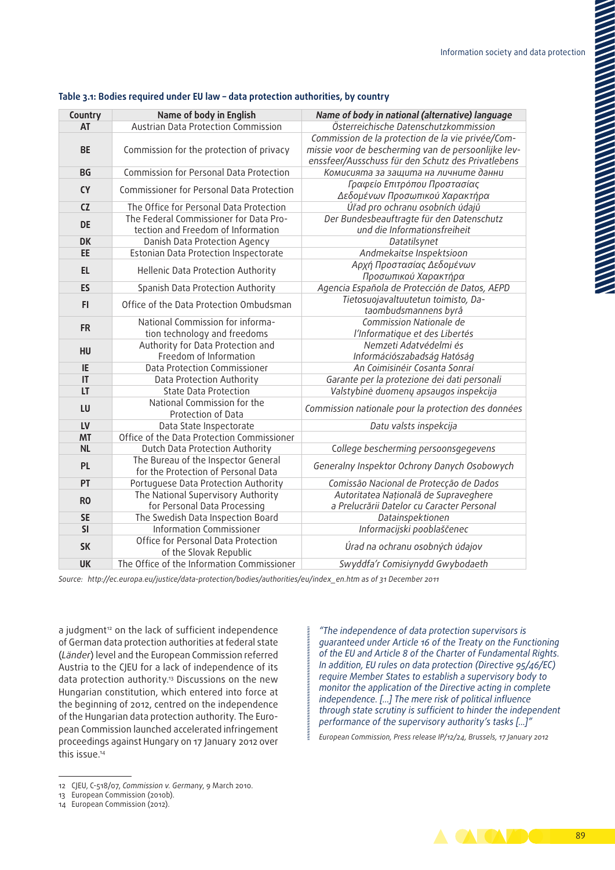| Country                | Name of body in English                                                      | Name of body in national (alternative) language                                                                                                                |
|------------------------|------------------------------------------------------------------------------|----------------------------------------------------------------------------------------------------------------------------------------------------------------|
| AT                     | Austrian Data Protection Commission                                          | Österreichische Datenschutzkommission                                                                                                                          |
| <b>BE</b>              | Commission for the protection of privacy                                     | Commission de la protection de la vie privée/Com-<br>missie voor de bescherming van de persoonlijke lev-<br>enssfeer/Ausschuss für den Schutz des Privatlebens |
| <b>BG</b>              | Commission for Personal Data Protection                                      | Комисията за защита на личните данни                                                                                                                           |
| <b>CY</b>              | Commissioner for Personal Data Protection                                    | Γραφείο Επιτρόπου Προστασίας<br>Δεδομένων Προσωπικού Χαρακτήρα                                                                                                 |
| CZ                     | The Office for Personal Data Protection                                      | Úřad pro ochranu osobních údajů                                                                                                                                |
| <b>DE</b>              | The Federal Commissioner for Data Pro-<br>tection and Freedom of Information | Der Bundesbeauftragte für den Datenschutz<br>und die Informationsfreiheit                                                                                      |
| <b>DK</b>              | Danish Data Protection Agency                                                | Datatilsynet                                                                                                                                                   |
| EE                     | Estonian Data Protection Inspectorate                                        | Andmekaitse Inspektsioon                                                                                                                                       |
| <b>EL</b>              | Hellenic Data Protection Authority                                           | Αρχή Προστασίας Δεδομένων<br>Προσωπικού Χαρακτήρα                                                                                                              |
| ES                     | Spanish Data Protection Authority                                            | Agencia Española de Protección de Datos, AEPD                                                                                                                  |
| FI.                    | Office of the Data Protection Ombudsman                                      | Tietosuojavaltuutetun toimisto, Da-<br>taombudsmannens byrå                                                                                                    |
| <b>FR</b>              | National Commission for informa-<br>tion technology and freedoms             | Commission Nationale de<br>l'Informatique et des Libertés                                                                                                      |
| HU                     | Authority for Data Protection and<br>Freedom of Information                  | Nemzeti Adatvédelmi és<br>Információszabadság Hatóság                                                                                                          |
| IE                     | Data Protection Commissioner                                                 | An Coimisinéir Cosanta Sonraí                                                                                                                                  |
| $\mathsf{I}\mathsf{T}$ | Data Protection Authority                                                    | Garante per la protezione dei dati personali                                                                                                                   |
| LT                     | <b>State Data Protection</b>                                                 | Valstybinė duomenų apsaugos inspekcija                                                                                                                         |
| LU                     | National Commission for the<br>Protection of Data                            | Commission nationale pour la protection des données                                                                                                            |
| LV                     | Data State Inspectorate                                                      | Datu valsts inspekcija                                                                                                                                         |
| <b>MT</b>              | Office of the Data Protection Commissioner                                   |                                                                                                                                                                |
| <b>NL</b>              | Dutch Data Protection Authority                                              | College bescherming persoonsgegevens                                                                                                                           |
| <b>PL</b>              | The Bureau of the Inspector General<br>for the Protection of Personal Data   | Generalny Inspektor Ochrony Danych Osobowych                                                                                                                   |
| PT                     | Portuguese Data Protection Authority                                         | Comissão Nacional de Protecção de Dados                                                                                                                        |
| R <sub>0</sub>         | The National Supervisory Authority<br>for Personal Data Processing           | Autoritatea Națională de Supraveghere<br>a Prelucrării Datelor cu Caracter Personal                                                                            |
| <b>SE</b>              | The Swedish Data Inspection Board                                            | Datainspektionen                                                                                                                                               |
| SI                     | <b>Information Commissioner</b>                                              | Informacijski pooblaščenec                                                                                                                                     |
| <b>SK</b>              | Office for Personal Data Protection<br>of the Slovak Republic                | Úrad na ochranu osobných údajov                                                                                                                                |
| <b>UK</b>              | The Office of the Information Commissioner                                   | Swyddfa'r Comisiynydd Gwybodaeth                                                                                                                               |

#### **Table 3.1: Bodies required under EU law – data protection authorities, by country**

*Source: [http://ec.europa.eu/justice/data‑protection/bodies/authorities/eu/index\\_en.htm](http://ec.europa.eu/justice/data-protection/bodies/authorities/eu/index_en.htm) as of 31 December 2011*

a judgment<sup>12</sup> on the lack of sufficient independence of German data protection authorities at federal state (*Länder*) level and the European Commission referred Austria to the CJEU for a lack of independence of its data protection authority.13 Discussions on the new Hungarian constitution, which entered into force at the beginning of 2012, centred on the independence of the Hungarian data protection authority. The European Commission launched accelerated infringement proceedings against Hungary on 17 January 2012 over this issue.14

*"The independence of data protection supervisors is guaranteed under Article 16 of the Treaty on the Functioning of the EU and Article 8 of the Charter of Fundamental Rights. In addition, EU rules on data protection (Directive 95/46/EC) require Member States to establish a supervisory body to monitor the application of the Directive acting in complete independence. […] The mere risk of political influence through state scrutiny is sufficient to hinder the independent performance of the supervisory authority's tasks [...]"*

*European Commission, Press release IP/12/24, Brussels, 17 January 2012*



<sup>12</sup> CJEU, C-518/07, *Commission v. Germany*, 9 March 2010.

<sup>13</sup> European Commission (2010b).

<sup>14</sup> European Commission (2012).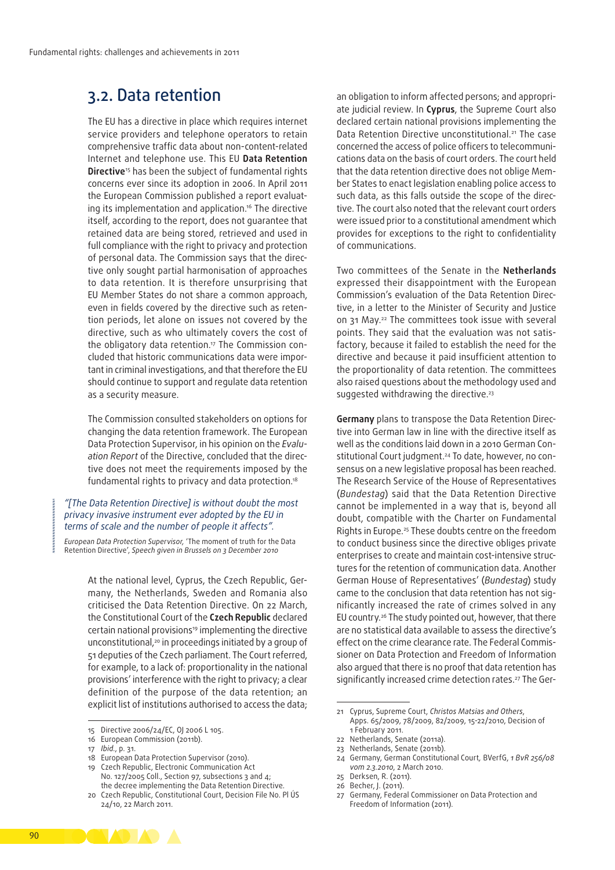### 3.2. Data retention

The EU has a directive in place which requires internet service providers and telephone operators to retain comprehensive traffic data about non‑content‑related Internet and telephone use. This EU **Data Retention Directive**<sup>15</sup> has been the subiect of fundamental rights concerns ever since its adoption in 2006. In April 2011 the European Commission published a report evaluating its implementation and application.<sup>16</sup> The directive itself, according to the report, does not guarantee that retained data are being stored, retrieved and used in full compliance with the right to privacy and protection of personal data. The Commission says that the directive only sought partial harmonisation of approaches to data retention. It is therefore unsurprising that EU Member States do not share a common approach, even in fields covered by the directive such as retention periods, let alone on issues not covered by the directive, such as who ultimately covers the cost of the obligatory data retention.<sup>17</sup> The Commission concluded that historic communications data were important in criminal investigations, and that therefore the EU should continue to support and regulate data retention as a security measure.

The Commission consulted stakeholders on options for changing the data retention framework. The European Data Protection Supervisor, in his opinion on the *Evalu‑* ation Report of the Directive, concluded that the directive does not meet the requirements imposed by the fundamental rights to privacy and data protection.18

#### *"[The Data Retention Directive] is without doubt the most privacy invasive instrument ever adopted by the EU in terms of scale and the number of people it affects".*

*European Data Protection Supervisor,* 'The moment of truth for the Data Retention Directive', *Speech given in Brussels on 3 December 2010*

> At the national level, Cyprus, the Czech Republic, Germany, the Netherlands, Sweden and Romania also criticised the Data Retention Directive. On 22 March, the Constitutional Court of the **Czech Republic** declared certain national provisions<sup>19</sup> implementing the directive unconstitutional,<sup>20</sup> in proceedings initiated by a group of 51 deputies of the Czech parliament. The Court referred, for example, to a lack of: proportionality in the national provisions' interference with the right to privacy; a clear definition of the purpose of the data retention; an explicit list of institutions authorised to access the data;

an obligation to inform affected persons; and appropriate judicial review. In **Cyprus**, the Supreme Court also declared certain national provisions implementing the Data Retention Directive unconstitutional.21 The case concerned the access of police officers to telecommuni‑ cations data on the basis of court orders. The court held that the data retention directive does not oblige Member States to enact legislation enabling police access to such data, as this falls outside the scope of the directive. The court also noted that the relevant court orders were issued prior to a constitutional amendment which provides for exceptions to the right to confidentiality of communications.

Two committees of the Senate in the **Netherlands**  expressed their disappointment with the European Commission's evaluation of the Data Retention Direc‑ tive, in a letter to the Minister of Security and Justice on 31 May.22 The committees took issue with several points. They said that the evaluation was not satisfactory, because it failed to establish the need for the directive and because it paid insufficient attention to the proportionality of data retention. The committees also raised questions about the methodology used and suggested withdrawing the directive.<sup>23</sup>

**Germany** plans to transpose the Data Retention Direc‑ tive into German law in line with the directive itself as well as the conditions laid down in a 2010 German Constitutional Court judgment.<sup>24</sup> To date, however, no consensus on a new legislative proposal has been reached. The Research Service of the House of Representatives (*Bundestag*) said that the Data Retention Directive cannot be implemented in a way that is, beyond all doubt, compatible with the Charter on Fundamental Rights in Europe.25 These doubts centre on the freedom to conduct business since the directive obliges private enterprises to create and maintain cost-intensive structures for the retention of communication data. Another German House of Representatives' (*Bundestag*) study came to the conclusion that data retention has not significantly increased the rate of crimes solved in any EU country.26 The study pointed out, however, that there are no statistical data available to assess the directive's effect on the crime clearance rate. The Federal Commissioner on Data Protection and Freedom of Information also argued that there is no proof that data retention has significantly increased crime detection rates.<sup>27</sup> The Ger-

- 22 Netherlands, Senate (2011a).
- 23 Netherlands, Senate (2011b).
- 24 Germany, German Constitutional Court*,* BVerfG, *1 BvR 256/08 vom 2.3.2010*, 2 March 2010.
- 25 Derksen, R. (2011).
- 26 Becher, J. (2011).
- 27 Germany, Federal Commissioner on Data Protection and Freedom of Information (2011).



<sup>15</sup> Directive 2006/24/EC, OJ 2006 L 105.

<sup>16</sup> European Commission (2011b).

<sup>17</sup> *Ibid.*, p. 31.

<sup>18</sup> European Data Protection Supervisor (2010).

<sup>19</sup> Czech Republic, Electronic Communication Act No. 127/2005 Coll., Section 97, subsections 3 and 4; the decree implementing the Data Retention Directive.

<sup>20</sup> Czech Republic, Constitutional Court, Decision File No. Pl ÚS 24/10, 22 March 2011.

<sup>21</sup> Cyprus, Supreme Court, *Christos Matsias and Others*, Apps. 65/2009, 78/2009, 82/2009, 15-22/2010, Decision of 1 February 2011.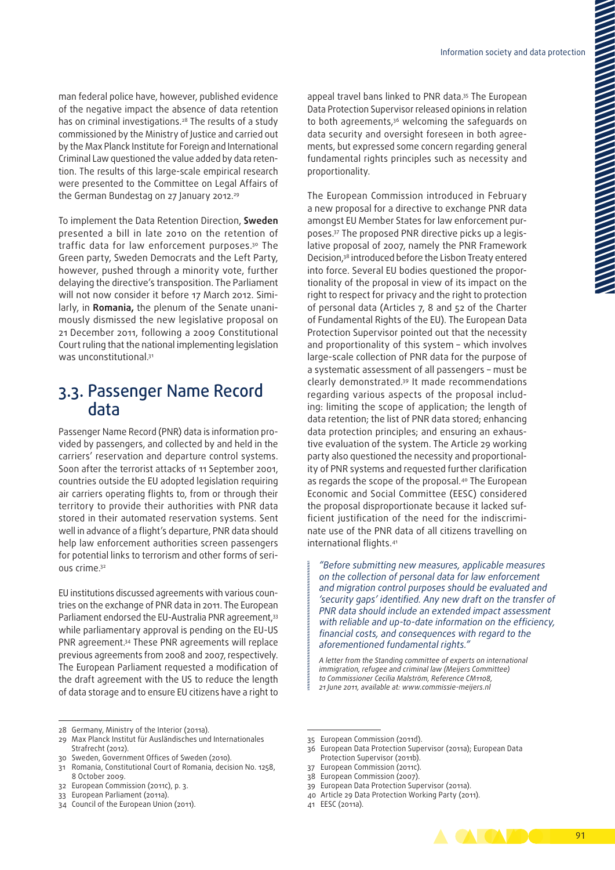man federal police have, however, published evidence of the negative impact the absence of data retention has on criminal investigations.28 The results of a study commissioned by the Ministry of Justice and carried out by the Max Planck Institute for Foreign and International Criminal Law questioned the value added by data retention. The results of this large‑scale empirical research were presented to the Committee on Legal Affairs of the German Bundestag on 27 January 2012.<sup>29</sup>

To implement the Data Retention Direction, **Sweden** presented a bill in late 2010 on the retention of traffic data for law enforcement purposes.30 The Green party, Sweden Democrats and the Left Party, however, pushed through a minority vote, further delaying the directive's transposition. The Parliament will not now consider it before 17 March 2012. Similarly, in **Romania,** the plenum of the Senate unanimously dismissed the new legislative proposal on 21 December 2011, following a 2009 Constitutional Court ruling that the national implementing legislation was unconstitutional.<sup>31</sup>

### 3.3. Passenger Name Record data

Passenger Name Record (PNR) data is information provided by passengers, and collected by and held in the carriers' reservation and departure control systems. Soon after the terrorist attacks of 11 September 2001, countries outside the EU adopted legislation requiring air carriers operating flights to, from or through their territory to provide their authorities with PNR data stored in their automated reservation systems. Sent well in advance of a flight's departure, PNR data should help law enforcement authorities screen passengers for potential links to terrorism and other forms of serious crime.32

EU institutions discussed agreements with various coun‑ tries on the exchange of PNR data in 2011. The European Parliament endorsed the EU-Australia PNR agreement, 33 while parliamentary approval is pending on the EU-US PNR agreement.34 These PNR agreements will replace previous agreements from 2008 and 2007, respectively. The European Parliament requested a modification of the draft agreement with the US to reduce the length of data storage and to ensure EU citizens have a right to

to both agreements.<sup>36</sup> welcoming the safeguards on data security and oversight foreseen in both agreements, but expressed some concern regarding general fundamental rights principles such as necessity and proportionality.

The European Commission introduced in February a new proposal for a directive to exchange PNR data amongst EU Member States for law enforcement purposes.<sup>37</sup> The proposed PNR directive picks up a legislative proposal of 2007, namely the PNR Framework Decision,38 introduced before the Lisbon Treaty entered into force. Several EU bodies questioned the proportionality of the proposal in view of its impact on the right to respect for privacy and the right to protection of personal data (Articles 7, 8 and 52 of the Charter of Fundamental Rights of the EU). The European Data Protection Supervisor pointed out that the necessity and proportionality of this system – which involves large‑scale collection of PNR data for the purpose of a systematic assessment of all passengers – must be clearly demonstrated.39 It made recommendations regarding various aspects of the proposal including: limiting the scope of application; the length of data retention; the list of PNR data stored; enhancing data protection principles; and ensuring an exhaustive evaluation of the system. The Article 29 working party also questioned the necessity and proportionality of PNR systems and requested further clarification as regards the scope of the proposal.<sup>40</sup> The European Economic and Social Committee (EESC) considered the proposal disproportionate because it lacked sufficient justification of the need for the indiscriminate use of the PNR data of all citizens travelling on international flights.41

*"Before submitting new measures, applicable measures on the collection of personal data for law enforcement and migration control purposes should be evaluated and 'security gaps' identified. Any new draft on the transfer of PNR data should include an extended impact assessment with reliable and up‑to‑date information on the efficiency, financial costs, and consequences with regard to the aforementioned fundamental rights."*

*A letter from the Standing committee of experts on international immigration, refugee and criminal law (Meijers Committee) to Commissioner Cecilia Malström, Reference CM1108, 21 June 2011, available at: [www.commissie‑meijers.nl](http://www.commissie-meijers.nl/)*

- 36 European Data Protection Supervisor (2011a); European Data Protection Supervisor (2011b).
- European Commission (2011c).
- 38 European Commission (2007).
- 39 European Data Protection Supervisor (2011a).
- 40 Article 29 Data Protection Working Party (2011).



<sup>28</sup> Germany, Ministry of the Interior (2011a).

<sup>29</sup> Max Planck Institut für Ausländisches und Internationales Strafrecht (2012).

<sup>30</sup> Sweden, Government Offices of Sweden (2010).

<sup>31</sup> Romania, Constitutional Court of Romania, decision No. 1258, 8 October 2009.

<sup>32</sup> European Commission (2011c), p. 3.

<sup>33</sup> European Parliament (2011a).

<sup>34</sup> Council of the European Union (2011).

<sup>35</sup> European Commission (2011d).

<sup>41</sup> EESC (2011a).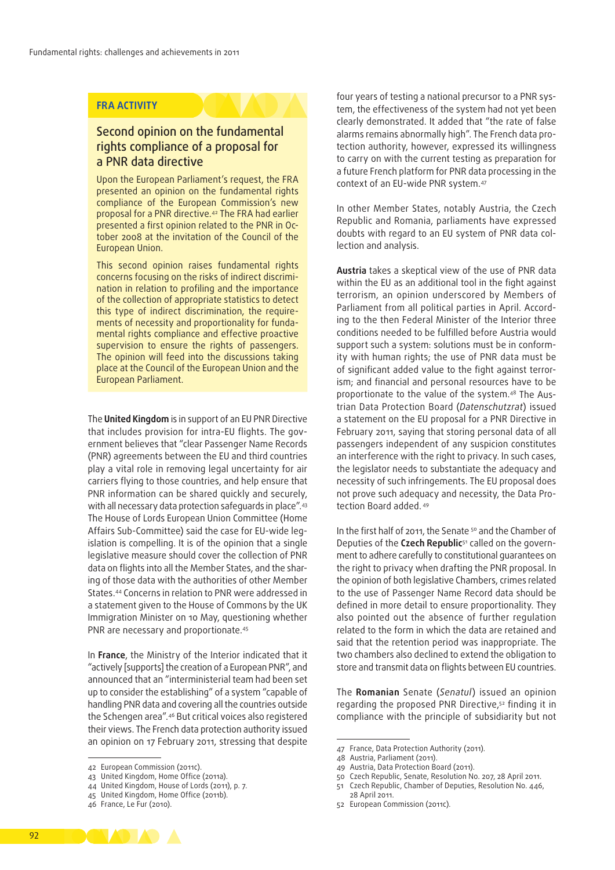#### **FRA ACTIVITY**

#### Second opinion on the fundamental rights compliance of a proposal for a PNR data directive

Upon the European Parliament's request, the FRA presented an opinion on the fundamental rights compliance of the European Commission's new proposal for a PNR directive.42 The FRA had earlier presented a first opinion related to the PNR in Oc‑ tober 2008 at the invitation of the Council of the European Union.

This second opinion raises fundamental rights concerns focusing on the risks of indirect discrimination in relation to profiling and the importance of the collection of appropriate statistics to detect this type of indirect discrimination, the requirements of necessity and proportionality for fundamental rights compliance and effective proactive supervision to ensure the rights of passengers. The opinion will feed into the discussions taking place at the Council of the European Union and the European Parliament.

The **United Kingdom** is in support of an EU PNR Directive that includes provision for intra‑EU flights. The gov‑ ernment believes that "clear Passenger Name Records (PNR) agreements between the EU and third countries play a vital role in removing legal uncertainty for air carriers flying to those countries, and help ensure that PNR information can be shared quickly and securely, with all necessary data protection safeguards in place".43 The House of Lords European Union Committee (Home Affairs Sub-Committee) said the case for EU-wide legislation is compelling. It is of the opinion that a single legislative measure should cover the collection of PNR data on flights into all the Member States, and the sharing of those data with the authorities of other Member States.44 Concerns in relation to PNR were addressed in a statement given to the House of Commons by the UK Immigration Minister on 10 May, questioning whether PNR are necessary and proportionate.<sup>45</sup>

In **France**, the Ministry of the Interior indicated that it "actively [supports] the creation of a European PNR", and announced that an "interministerial team had been set up to consider the establishing" of a system "capable of handling PNR data and covering all the countries outside the Schengen area".46 But critical voices also registered their views. The French data protection authority issued an opinion on 17 February 2011, stressing that despite

four years of testing a national precursor to a PNR system, the effectiveness of the system had not yet been clearly demonstrated. It added that "the rate of false alarms remains abnormally high". The French data protection authority, however, expressed its willingness to carry on with the current testing as preparation for a future French platform for PNR data processing in the context of an EU-wide PNR system.<sup>47</sup>

In other Member States, notably Austria, the Czech Republic and Romania, parliaments have expressed doubts with regard to an EU system of PNR data collection and analysis.

**Austria** takes a skeptical view of the use of PNR data within the EU as an additional tool in the fight against terrorism, an opinion underscored by Members of Parliament from all political parties in April. According to the then Federal Minister of the Interior three conditions needed to be fulfilled before Austria would support such a system: solutions must be in conformity with human rights; the use of PNR data must be of significant added value to the fight against terrorism; and financial and personal resources have to be proportionate to the value of the system.<sup>48</sup> The Austrian Data Protection Board (*Datenschutzrat*) issued a statement on the EU proposal for a PNR Directive in February 2011, saying that storing personal data of all passengers independent of any suspicion constitutes an interference with the right to privacy. In such cases, the legislator needs to substantiate the adequacy and necessity of such infringements. The EU proposal does not prove such adequacy and necessity, the Data Protection Board added. 49

In the first half of 2011, the Senate <sup>50</sup> and the Chamber of Deputies of the **Czech Republic**<sup>51</sup> called on the government to adhere carefully to constitutional guarantees on the right to privacy when drafting the PNR proposal. In the opinion of both legislative Chambers, crimes related to the use of Passenger Name Record data should be defined in more detail to ensure proportionality. They also pointed out the absence of further regulation related to the form in which the data are retained and said that the retention period was inappropriate. The two chambers also declined to extend the obligation to store and transmit data on flights between EU countries.

The **Romanian** Senate (*Senatul*) issued an opinion regarding the proposed PNR Directive,52 finding it in compliance with the principle of subsidiarity but not

- 49 Austria, Data Protection Board (2011).
- 50 Czech Republic, Senate, Resolution No. 207, 28 April 2011.
- 51 Czech Republic, Chamber of Deputies, Resolution No. 446, 28 April 2011.



<sup>42</sup> European Commission (2011c).

<sup>43</sup> United Kingdom, Home Office (2011a).

<sup>44</sup> United Kingdom, House of Lords (2011), p. 7.

<sup>45</sup> United Kingdom, Home Office (2011b).

<sup>46</sup> France, Le Fur (2010).

<sup>47</sup> France, Data Protection Authority (2011).

<sup>48</sup> Austria, Parliament (2011).

<sup>52</sup> European Commission (2011c).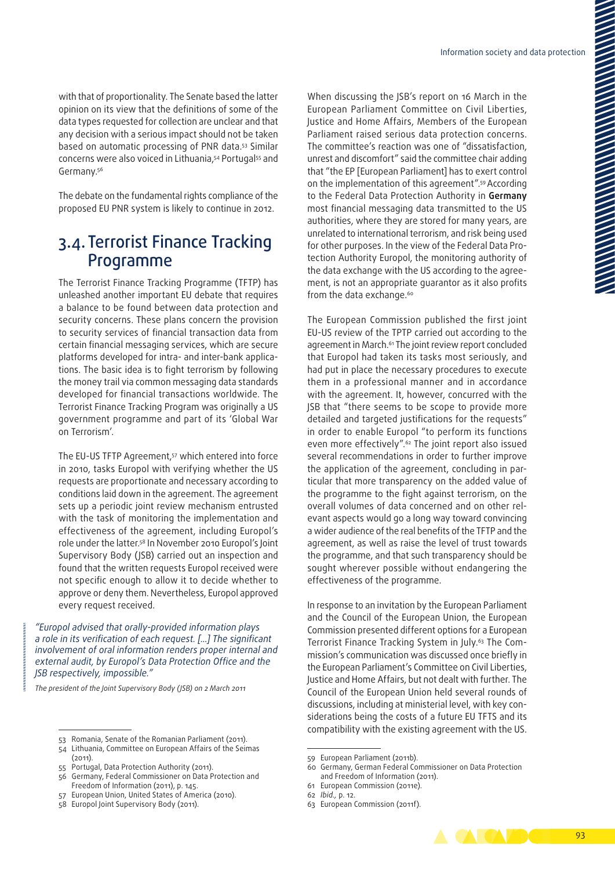with that of proportionality. The Senate based the latter opinion on its view that the definitions of some of the data types requested for collection are unclear and that any decision with a serious impact should not be taken based on automatic processing of PNR data.53 Similar concerns were also voiced in Lithuania,<sup>54</sup> Portugal<sup>55</sup> and Germany.56

The debate on the fundamental rights compliance of the proposed EU PNR system is likely to continue in 2012.

### 3.4. Terrorist Finance Tracking Programme

The Terrorist Finance Tracking Programme (TFTP) has unleashed another important EU debate that requires a balance to be found between data protection and security concerns. These plans concern the provision to security services of financial transaction data from certain financial messaging services, which are secure platforms developed for intra- and inter-bank applications. The basic idea is to fight terrorism by following the money trail via common messaging data standards developed for financial transactions worldwide. The Terrorist Finance Tracking Program was originally a US government programme and part of its 'Global War on Terrorism'.

The EU-US TFTP Agreement,<sup>57</sup> which entered into force in 2010, tasks Europol with verifying whether the US requests are proportionate and necessary according to conditions laid down in the agreement. The agreement sets up a periodic joint review mechanism entrusted with the task of monitoring the implementation and effectiveness of the agreement, including Europol's role under the latter.58 In November 2010 Europol's Joint Supervisory Body (JSB) carried out an inspection and found that the written requests Europol received were not specific enough to allow it to decide whether to approve or deny them. Nevertheless, Europol approved every request received.

*"Europol advised that orally‑provided information plays a role in its verification of each request. [...] The significant involvement of oral information renders proper internal and external audit, by Europol's Data Protection Office and the JSB respectively, impossible."*

*The president of the Joint Supervisory Body (JSB) on 2 March 2011*

When discussing the JSB's report on 16 March in the European Parliament Committee on Civil Liberties, Justice and Home Affairs, Members of the European Parliament raised serious data protection concerns. The committee's reaction was one of "dissatisfaction, unrest and discomfort" said the committee chair adding that "the EP [European Parliament] has to exert control on the implementation of this agreement".59 According to the Federal Data Protection Authority in **Germany** most financial messaging data transmitted to the US authorities, where they are stored for many years, are unrelated to international terrorism, and risk being used for other purposes. In the view of the Federal Data Protection Authority Europol, the monitoring authority of the data exchange with the US according to the agreement, is not an appropriate guarantor as it also profits from the data exchange.<sup>60</sup>

The European Commission published the first joint EU‑US review of the TPTP carried out according to the agreement in March.<sup>61</sup> The joint review report concluded that Europol had taken its tasks most seriously, and had put in place the necessary procedures to execute them in a professional manner and in accordance with the agreement. It, however, concurred with the JSB that "there seems to be scope to provide more detailed and targeted justifications for the requests" in order to enable Europol "to perform its functions even more effectively".62 The joint report also issued several recommendations in order to further improve the application of the agreement, concluding in particular that more transparency on the added value of the programme to the fight against terrorism, on the overall volumes of data concerned and on other relevant aspects would go a long way toward convincing a wider audience of the real benefits of the TFTP and the agreement, as well as raise the level of trust towards the programme, and that such transparency should be sought wherever possible without endangering the effectiveness of the programme.

In response to an invitation by the European Parliament and the Council of the European Union, the European Commission presented different options for a European Terrorist Finance Tracking System in July.<sup>63</sup> The Commission's communication was discussed once briefly in the European Parliament's Committee on Civil Liberties, Justice and Home Affairs, but not dealt with further. The Council of the European Union held several rounds of discussions, including at ministerial level, with key considerations being the costs of a future EU TFTS and its compatibility with the existing agreement with the US.

<sup>63</sup> European Commission (2011f).



<sup>53</sup> Romania, Senate of the Romanian Parliament (2011).

<sup>54</sup> Lithuania, Committee on European Affairs of the Seimas (2011).

<sup>55</sup> Portugal, Data Protection Authority (2011).

<sup>56</sup> Germany, Federal Commissioner on Data Protection and Freedom of Information (2011), p. 145.

<sup>57</sup> European Union, United States of America (2010).

<sup>58</sup> Europol Joint Supervisory Body (2011).

<sup>59</sup> European Parliament (2011b).

<sup>60</sup> Germany, German Federal Commissioner on Data Protection and Freedom of Information (2011).

<sup>61</sup> European Commission (2011e).

<sup>62</sup> *Ibid.,* p. 12.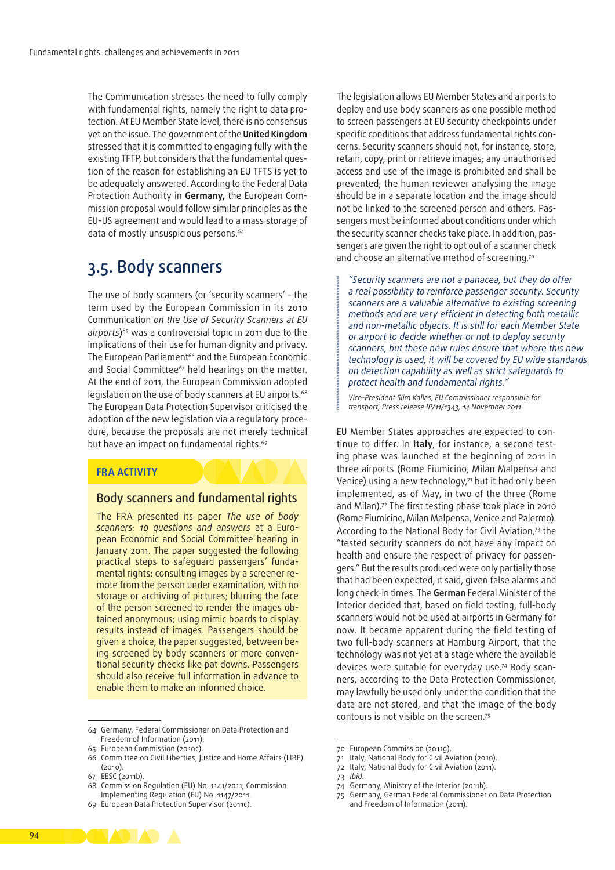The Communication stresses the need to fully comply with fundamental rights, namely the right to data protection. At EU Member State level, there is no consensus yet on the issue. The government of the **United Kingdom** stressed that it is committed to engaging fully with the existing TFTP, but considers that the fundamental question of the reason for establishing an EU TFTS is yet to be adequately answered. According to the Federal Data Protection Authority in **Germany,** the European Com‑ mission proposal would follow similar principles as the EU‑US agreement and would lead to a mass storage of data of mostly unsuspicious persons.<sup>64</sup>

### 3.5. Body scanners

The use of body scanners (or 'security scanners' – the term used by the European Commission in its 2010 Communication *on the Use of Security Scanners at EU airports*)65 was a controversial topic in 2011 due to the implications of their use for human dignity and privacy. The European Parliament<sup>66</sup> and the European Economic and Social Committee<sup>67</sup> held hearings on the matter. At the end of 2011, the European Commission adopted legislation on the use of body scanners at EU airports.<sup>68</sup> The European Data Protection Supervisor criticised the adoption of the new legislation via a regulatory procedure, because the proposals are not merely technical but have an impact on fundamental rights.<sup>69</sup>

#### **FRA ACTIVITY**

#### Body scanners and fundamental rights

The FRA presented its paper *The use of body scanners: 10 questions and answers* at a Euro‑ pean Economic and Social Committee hearing in January 2011. The paper suggested the following practical steps to safeguard passengers' fundamental rights: consulting images by a screener re‑ mote from the person under examination, with no storage or archiving of pictures; blurring the face of the person screened to render the images obtained anonymous; using mimic boards to display results instead of images. Passengers should be given a choice, the paper suggested, between being screened by body scanners or more conventional security checks like pat downs. Passengers should also receive full information in advance to enable them to make an informed choice.

64 Germany, Federal Commissioner on Data Protection and Freedom of Information (2011).

65 European Commission (2010c).

- EESC (2011b).
- 68 Commission Regulation (EU) No. 1141/2011; Commission Implementing Regulation (EU) No. 1147/2011.
- 69 European Data Protection Supervisor (2011c).

The legislation allows EU Member States and airports to deploy and use body scanners as one possible method to screen passengers at EU security checkpoints under specific conditions that address fundamental rights concerns. Security scanners should not, for instance, store, retain, copy, print or retrieve images; any unauthorised access and use of the image is prohibited and shall be prevented; the human reviewer analysing the image should be in a separate location and the image should not be linked to the screened person and others. Passengers must be informed about conditions under which the security scanner checks take place. In addition, passengers are given the right to opt out of a scanner check and choose an alternative method of screening.<sup>70</sup>

*"Security scanners are not a panacea, but they do offer a real possibility to reinforce passenger security. Security scanners are a valuable alternative to existing screening methods and are very efficient in detecting both metallic and non‑metallic objects. It is still for each Member State or airport to decide whether or not to deploy security scanners, but these new rules ensure that where this new technology is used, it will be covered by EU wide standards on detection capability as well as strict safeguards to protect health and fundamental rights."*

*Vice‑President Siim Kallas, EU Commissioner responsible for transport, Press release IP/11/1343, 14 November 2011*

EU Member States approaches are expected to continue to differ. In Italy, for instance, a second testing phase was launched at the beginning of 2011 in three airports (Rome Fiumicino, Milan Malpensa and Venice) using a new technology,<sup>71</sup> but it had only been implemented, as of May, in two of the three (Rome and Milan).<sup>72</sup> The first testing phase took place in 2010 (Rome Fiumicino, Milan Malpensa, Venice and Palermo). According to the National Body for Civil Aviation,73 the "tested security scanners do not have any impact on health and ensure the respect of privacy for passengers." But the results produced were only partially those that had been expected, it said, given false alarms and long check‑in times. The **German** Federal Minister of the Interior decided that, based on field testing, full-body scanners would not be used at airports in Germany for now. It became apparent during the field testing of two full‑body scanners at Hamburg Airport, that the technology was not yet at a stage where the available devices were suitable for everyday use.<sup>74</sup> Body scanners, according to the Data Protection Commissioner, may lawfully be used only under the condition that the data are not stored, and that the image of the body contours is not visible on the screen.75

- 72 Italy, National Body for Civil Aviation (2011).
- 73 *Ibid*.

**CONTRACTOR** 



<sup>66</sup> Committee on Civil Liberties, Justice and Home Affairs (LIBE) (2010).

<sup>70</sup> European Commission (2011g).

<sup>71</sup> Italy, National Body for Civil Aviation (2010).

<sup>74</sup> Germany, Ministry of the Interior (2011b).

<sup>75</sup> Germany, German Federal Commissioner on Data Protection and Freedom of Information (2011).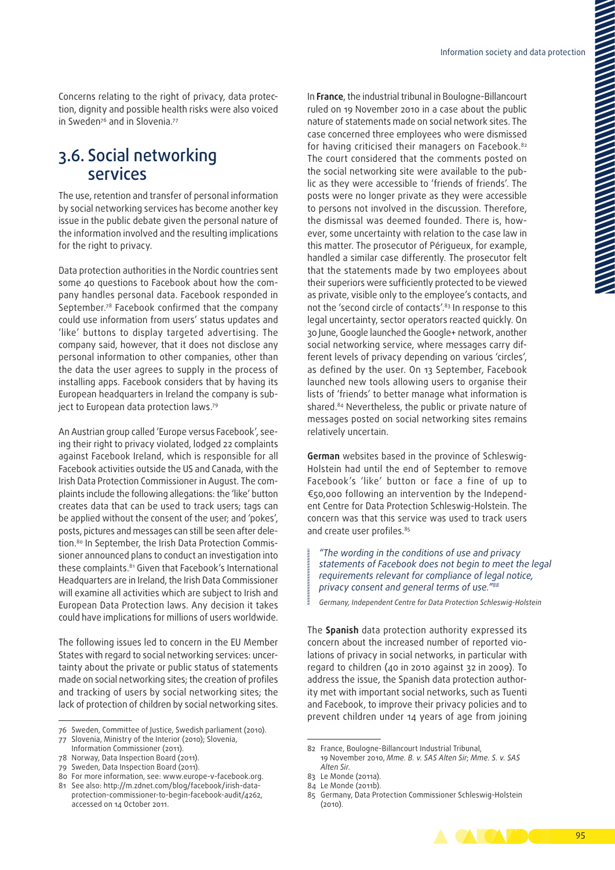Concerns relating to the right of privacy, data protection, dignity and possible health risks were also voiced in Sweden<sup>76</sup> and in Slovenia<sup>77</sup>

### 3.6. Social networking services

The use, retention and transfer of personal information by social networking services has become another key issue in the public debate given the personal nature of the information involved and the resulting implications for the right to privacy.

Data protection authorities in the Nordic countries sent some 40 questions to Facebook about how the company handles personal data. Facebook responded in September.78 Facebook confirmed that the company could use information from users' status updates and 'like' buttons to display targeted advertising. The company said, however, that it does not disclose any personal information to other companies, other than the data the user agrees to supply in the process of installing apps. Facebook considers that by having its European headquarters in Ireland the company is subject to European data protection laws.79

An Austrian group called 'Europe versus Facebook', see‑ ing their right to privacy violated, lodged 22 complaints against Facebook Ireland, which is responsible for all Facebook activities outside the US and Canada, with the Irish Data Protection Commissioner in August. The complaints include the following allegations: the 'like' button creates data that can be used to track users; tags can be applied without the consent of the user; and 'pokes', posts, pictures and messages can still be seen after deletion.<sup>80</sup> In September, the Irish Data Protection Commissioner announced plans to conduct an investigation into these complaints.<sup>81</sup> Given that Facebook's International Headquarters are in Ireland, the Irish Data Commissioner will examine all activities which are subject to Irish and European Data Protection laws. Any decision it takes could have implications for millions of users worldwide.

The following issues led to concern in the EU Member States with regard to social networking services: uncertainty about the private or public status of statements made on social networking sites; the creation of profiles and tracking of users by social networking sites; the lack of protection of children by social networking sites.

79 Sweden, Data Inspection Board (2011).

In **France**, the industrial tribunal in Boulogne‑Billancourt ruled on 19 November 2010 in a case about the public nature of statements made on social network sites. The case concerned three employees who were dismissed for having criticised their managers on Facebook.<sup>82</sup> The court considered that the comments posted on the social networking site were available to the public as they were accessible to 'friends of friends'. The posts were no longer private as they were accessible to persons not involved in the discussion. Therefore, the dismissal was deemed founded. There is, however, some uncertainty with relation to the case law in this matter. The prosecutor of Périgueux, for example, handled a similar case differently. The prosecutor felt that the statements made by two employees about their superiors were sufficiently protected to be viewed as private, visible only to the employee's contacts, and not the 'second circle of contacts'.<sup>83</sup> In response to this legal uncertainty, sector operators reacted quickly. On 30 June, Google launched the Google+ network, another social networking service, where messages carry different levels of privacy depending on various 'circles', as defined by the user. On 13 September, Facebook launched new tools allowing users to organise their lists of 'friends' to better manage what information is shared.<sup>84</sup> Nevertheless, the public or private nature of messages posted on social networking sites remains relatively uncertain.

**German** websites based in the province of Schleswig‑ Holstein had until the end of September to remove [Facebook](http://facebook.com)'s 'like' button or face a fine of up to €50,000 following an intervention by the Independ‑ ent Centre for Data Protection Schleswig‑Holstein. The concern was that this service was used to track users and create user profiles.<sup>85</sup>

*"The wording in the conditions of use and privacy statements of Facebook does not begin to meet the legal requirements relevant for compliance of legal notice, privacy consent and general terms of use."88*

*Germany, Independent Centre for Data Protection Schleswig‑Holstein*

The **Spanish** data protection authority expressed its concern about the increased number of reported violations of privacy in social networks, in particular with regard to children (40 in 2010 against 32 in 2009). To address the issue, the Spanish data protection authority met with important social networks, such as Tuenti and Facebook, to improve their privacy policies and to prevent children under 14 years of age from joining

<sup>85</sup> Germany, Data Protection Commissioner Schleswig-Holstein (2010).



<sup>76</sup> Sweden, Committee of Justice, Swedish parliament (2010).

<sup>77</sup> Slovenia, Ministry of the Interior (2010); Slovenia, Information Commissioner (2011).

<sup>78</sup> Norway, Data Inspection Board (2011).

<sup>80</sup> For more information, see: www.europe-v-facebook.org. 81 See also: [http://m.zdnet.com/blog/facebook/irish-data-](http://m.zdnet.com/blog/facebook/irish-data-protection-commissioner-to-begin-facebook-audit/4262)

[protection-commissioner-to-begin-facebook-audit/4262](http://m.zdnet.com/blog/facebook/irish-data-protection-commissioner-to-begin-facebook-audit/4262), accessed on 14 October 2011.

<sup>82</sup> France, Boulogne‑Billancourt Industrial Tribunal,

<sup>19</sup> November 2010, *Mme. B. v. SAS Alten Sir*; *Mme. S. v. SAS Alten Sir*.

<sup>83</sup> Le Monde (2011a).

<sup>84</sup> Le Monde (2011b).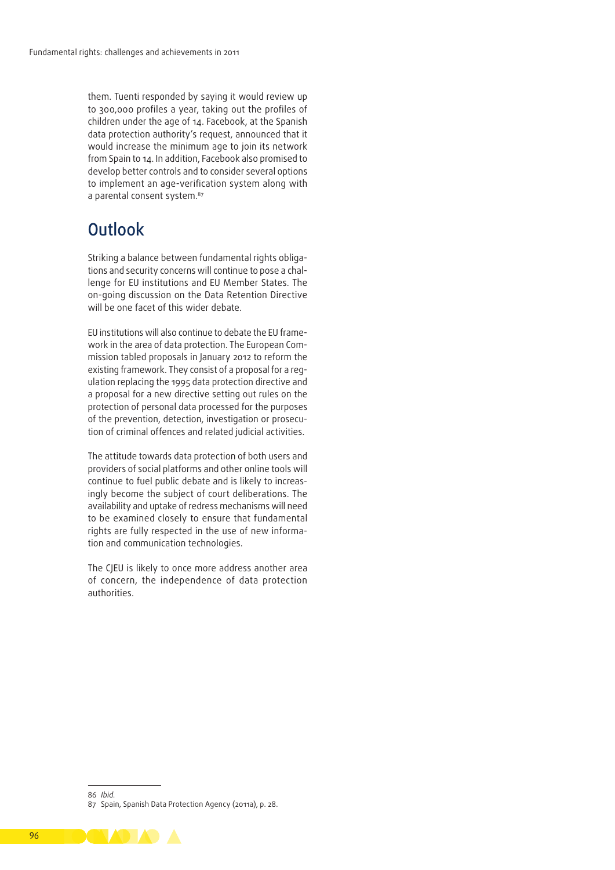them. Tuenti responded by saying it would review up to 300,000 profiles a year, taking out the profiles of children under the age of 14. Facebook, at the Spanish data protection authority's request, announced that it would increase the minimum age to join its network from Spain to 14. In addition, Facebook also promised to develop better controls and to consider several options to implement an age‑verification system along with a parental consent system.<sup>87</sup>

### **Outlook**

Striking a balance between fundamental rights obligations and security concerns will continue to pose a challenge for EU institutions and EU Member States. The on‑going discussion on the Data Retention Directive will be one facet of this wider debate.

EU institutions will also continue to debate the EU framework in the area of data protection. The European Commission tabled proposals in January 2012 to reform the existing framework. They consist of a proposal for a requlation replacing the 1995 data protection directive and a proposal for a new directive setting out rules on the protection of personal data processed for the purposes of the prevention, detection, investigation or prosecution of criminal offences and related judicial activities.

The attitude towards data protection of both users and providers of social platforms and other online tools will continue to fuel public debate and is likely to increasingly become the subject of court deliberations. The availability and uptake of redress mechanisms will need to be examined closely to ensure that fundamental rights are fully respected in the use of new information and communication technologies.

The CJEU is likely to once more address another area of concern, the independence of data protection authorities.

<sup>87</sup> Spain, Spanish Data Protection Agency (2011a), p. 28.



<sup>86</sup> *Ibid.*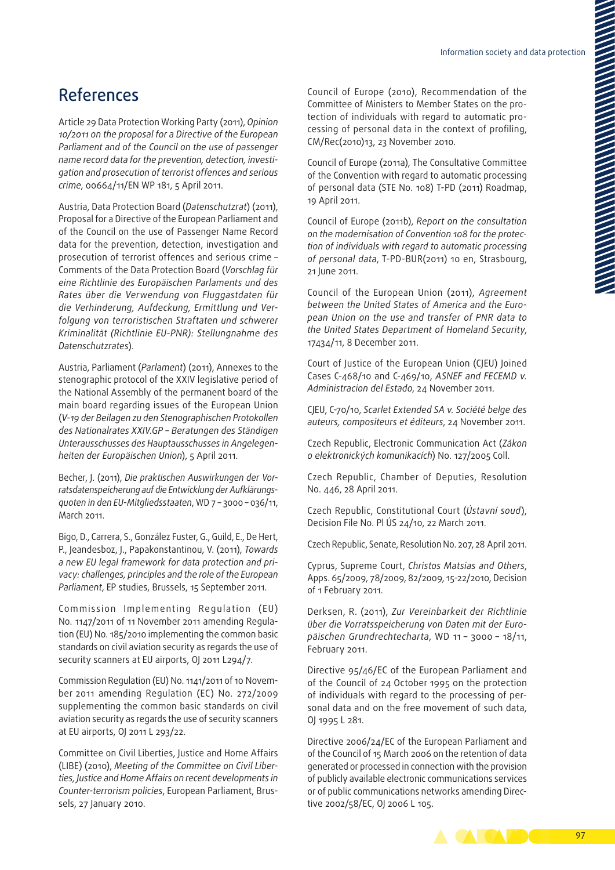## References

Article 29 Data Protection Working Party (2011), *Opinion 10/2011 on the proposal for a Directive of the European Parliament and of the Council on the use of passenger name record data for the prevention, detection, investi‑ gation and prosecution of terrorist offences and serious crime*, 00664/11/EN WP 181, 5 April 2011.

Austria, Data Protection Board (*Datenschutzrat*) (2011), Proposal for a Directive of the European Parliament and of the Council on the use of Passenger Name Record data for the prevention, detection, investigation and prosecution of terrorist offences and serious crime – Comments of the Data Protection Board (*Vorschlag für eine Richtlinie des Europäischen Parlaments und des Rates über die Verwendung von Fluggastdaten für die Verhinderung, Aufdeckung, Ermittlung und Ver‑ folgung von terroristischen Straftaten und schwerer Kriminalität (Richtlinie EU‑PNR): Stellungnahme des Datenschutzrates*).

Austria, Parliament (*Parlament*) (2011), Annexes to the stenographic protocol of the XXIV legislative period of the National Assembly of the permanent board of the main board regarding issues of the European Union (*V-19 der Beilagen zu den Stenographischen Protokollen des Nationalrates XXIV.GP – Beratungen des Ständigen Unterausschusses des Hauptausschusses in Angelegen‑ heiten der Europäischen Union*), 5 April 2011.

Becher, J. (2011), *Die praktischen Auswirkungen der Vor‑ ratsdatenspeicherung auf die Entwicklung der Aufklärungs‑ quoten in den EU‑Mitgliedsstaaten*, WD 7 – 3000 – 036/11, March 2011.

Bigo, D., Carrera, S., González Fuster, G., Guild, E., De Hert, P., Jeandesboz, J., Papakonstantinou, V. (2011), *Towards a new EU legal framework for data protection and pri‑ vacy: challenges, principles and the role of the European Parliament*, EP studies, Brussels, 15 September 2011.

Commission Implementing Regulation (EU) No. 1147/2011 of 11 November 2011 amending Regulation (EU) No. 185/2010 implementing the common basic standards on civil aviation security as regards the use of security scanners at EU airports, OJ 2011 L294/7.

Commission Regulation (EU) No. 1141/2011 of 10 November 2011 amending Regulation (EC) No. 272/2009 supplementing the common basic standards on civil aviation security as regards the use of security scanners at EU airports, OJ 2011 L 293/22.

Committee on Civil Liberties, Justice and Home Affairs (LIBE) (2010), *Meeting of the Committee on Civil Liber‑ ties, Justice and Home Affairs on recent developments in Counter‑terrorism policies*, European Parliament, Brus‑ sels, 27 January 2010.

Council of Europe (2010), Recommendation of the Committee of Ministers to Member States on the protection of individuals with regard to automatic processing of personal data in the context of profiling, CM/Rec(2010)13, 23 November 2010.

Council of Europe (2011a), The Consultative Committee of the Convention with regard to automatic processing of personal data (STE No. 108) T‑PD (2011) Roadmap, 19 April 2011.

Council of Europe (2011b), *Report on the consultation on the modernisation of Convention 108 for the protec‑ tion of individuals with regard to automatic processing of personal data*, T‑PD‑BUR(2011) 10 en, Strasbourg, 21 June 2011.

Council of the European Union (2011), *Agreement between the United States of America and the Euro‑ pean Union on the use and transfer of PNR data to the United States Department of Homeland Security*, 17434/11, 8 December 2011.

Court of Justice of the European Union (CJEU) Joined Cases C-468/10 and C-469/10, *ASNEF and FECEMD v. Administracion del Estado*, 24 November 2011.

CJEU, C-70/10, *Scarlet Extended SA v. Société belge des auteurs, compositeurs et éditeurs*, 24 November 2011.

Czech Republic, Electronic Communication Act (*Zákon o elektronických komunikacích*) No. 127/2005 Coll.

Czech Republic, Chamber of Deputies, Resolution No. 446, 28 April 2011.

Czech Republic, Constitutional Court (*Ústavní soud*), Decision File No. Pl ÚS 24/10, 22 March 2011.

Czech Republic, Senate, Resolution No. 207, 28 April 2011.

Cyprus, Supreme Court, *Christos Matsias and Others*, Apps. 65/2009, 78/2009, 82/2009, 15-22/2010, Decision of 1 February 2011.

Derksen, R. (2011), *Zur Vereinbarkeit der Richtlinie über die Vorratsspeicherung von Daten mit der Euro‑ päischen Grundrechtecharta*, WD 11 – 3000 – 18/11, February 2011.

Directive 95/46/EC of the European Parliament and of the Council of 24 October 1995 on the protection of individuals with regard to the processing of per‑ sonal data and on the free movement of such data, OJ 1995 L 281.

Directive 2006/24/EC of the European Parliament and of the Council of 15 March 2006 on the retention of data generated or processed in connection with the provision of publicly available electronic communications services or of public communications networks amending Directive 2002/58/EC, OJ 2006 L 105.

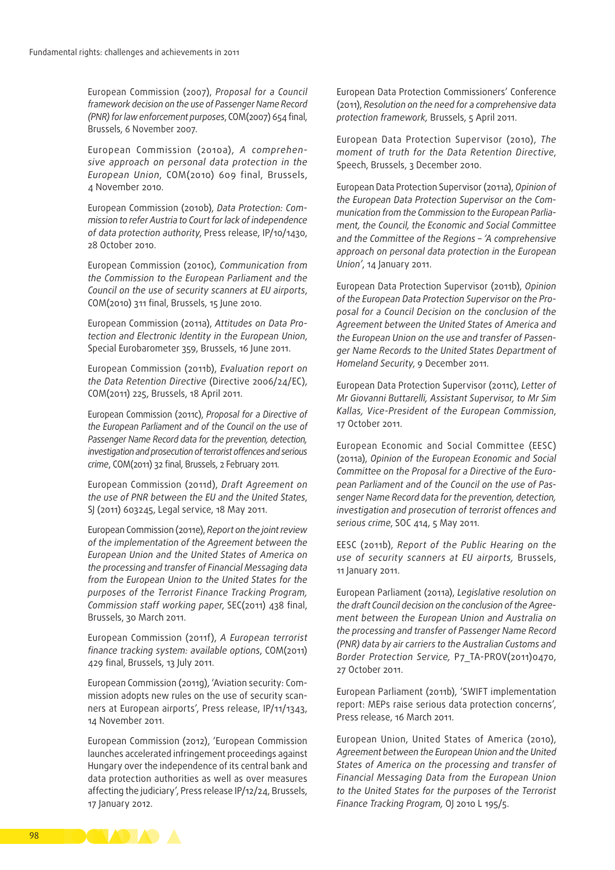European Commission (2007), *Proposal for a Council framework decision on the use of Passenger Name Record (PNR) for law enforcement purposes*, COM(2007) 654 final, Brussels, 6 November 2007.

European Commission (2010a), *A comprehen‑ sive approach on personal data protection in the European Union*, COM(2010) 609 final, Brussels, 4 November 2010.

European Commission (2010b), *Data Protection: Com‑ mission to refer Austria to Court for lack of independence of data protection authority*, Press release, IP/10/1430, 28 October 2010.

European Commission (2010c), *Communication from the Commission to the European Parliament and the Council on the use of security scanners at EU airports*, COM(2010) 311 final, Brussels, 15 June 2010.

European Commission (2011a), *Attitudes on Data Pro‑ tection and Electronic Identity in the European Union*, Special Eurobarometer 359, Brussels, 16 June 2011.

European Commission (2011b), *Evaluation report on the Data Retention Directive* (Directive 2006/24/EC), COM(2011) 225, Brussels, 18 April 2011.

European Commission (2011c), *Proposal for a Directive of the European Parliament and of the Council on the use of Passenger Name Record data for the prevention, detection, investigation and prosecution of terrorist offences and serious crime*, COM(2011) 32 final, Brussels, 2 February 2011.

European Commission (2011d), *Draft Agreement on the use of PNR between the EU and the United States*, SJ (2011) 603245, Legal service, 18 May 2011.

European Commission (2011e), *Report on the joint review of the implementation of the Agreement between the European Union and the United States of America on the processing and transfer of Financial Messaging data from the European Union to the United States for the purposes of the Terrorist Finance Tracking Program, Commission staff working paper*, SEC(2011) 438 final, Brussels, 30 March 2011.

European Commission (2011f), *A European terrorist finance tracking system: available options*, COM(2011) 429 final, Brussels, 13 July 2011.

European Commission (2011g), 'Aviation security: Commission adopts new rules on the use of security scanners at European airports', Press release, IP/11/1343, 14 November 2011.

European Commission (2012), 'European Commission launches accelerated infringement proceedings against Hungary over the independence of its central bank and data protection authorities as well as over measures affecting the judiciary', Press release IP/12/24, Brussels, 17 January 2012.

European Data Protection Commissioners' Conference (2011), *Resolution on the need for a comprehensive data protection framework,* Brussels, 5 April 2011.

European Data Protection Supervisor (2010), *The moment of truth for the Data Retention Directive*, Speech, Brussels, 3 December 2010.

European Data Protection Supervisor (2011a), *Opinion of the European Data Protection Supervisor on the Com‑ munication from the Commission to the European Parlia‑ ment, the Council, the Economic and Social Committee and the Committee of the Regions – 'A comprehensive approach on personal data protection in the European Union'*, 14 January 2011.

European Data Protection Supervisor (2011b), *Opinion of the European Data Protection Supervisor on the Pro‑ posal for a Council Decision on the conclusion of the Agreement between the United States of America and the European Union on the use and transfer of Passen‑ ger Name Records to the United States Department of Homeland Security*, 9 December 2011.

European Data Protection Supervisor (2011c), *Letter of Mr Giovanni Buttarelli, Assistant Supervisor, to Mr Sim Kallas, Vice‑President of the European Commission*, 17 October 2011.

European Economic and Social Committee (EESC) (2011a), *Opinion of the European Economic and Social Committee on the Proposal for a Directive of the Euro‑ pean Parliament and of the Council on the use of Pas‑ senger Name Record data for the prevention, detection, investigation and prosecution of terrorist offences and serious crime*, SOC 414, 5 May 2011.

EESC (2011b), *Report of the Public Hearing on the use of security scanners at EU airports,* Brussels, 11 January 2011.

European Parliament (2011a), *Legislative resolution on the draft Council decision on the conclusion of the Agree‑ ment between the European Union and Australia on the processing and transfer of Passenger Name Record (PNR) data by air carriers to the Australian Customs and Border Protection Service,* P7\_TA‑PROV(2011)0470, 27 October 2011.

European Parliament (2011b), 'SWIFT implementation report: MEPs raise serious data protection concerns', Press release, 16 March 2011.

European Union, United States of America (2010), *Agreement between the European Union and the United States of America on the processing and transfer of Financial Messaging Data from the European Union to the United States for the purposes of the Terrorist Finance Tracking Program,* OJ 2010 L 195/5.

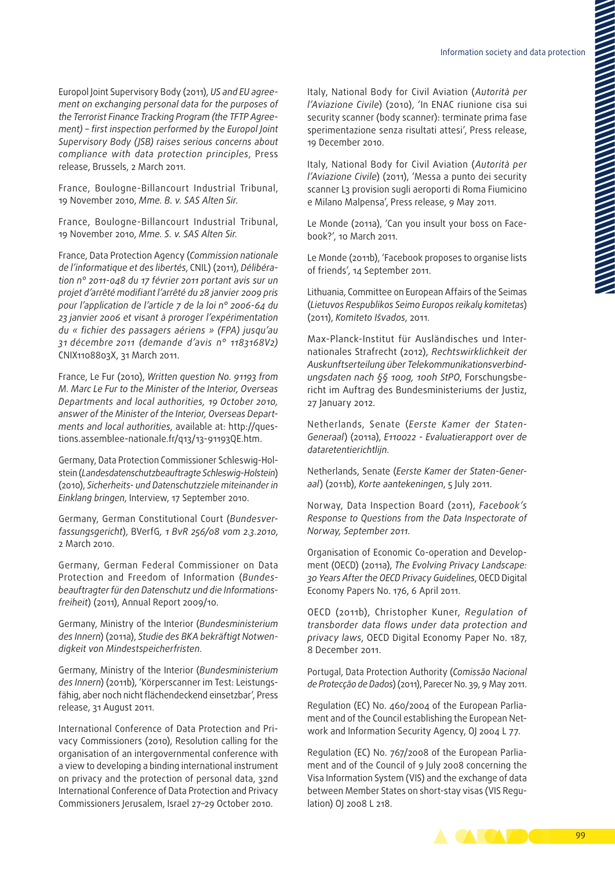Europol Joint Supervisory Body (2011), *US and EU agree‑ ment on exchanging personal data for the purposes of the Terrorist Finance Tracking Program (the TFTP Agree‑ ment) – first inspection performed by the Europol Joint Supervisory Body (JSB) raises serious concerns about compliance with data protection principles*, Press release, Brussels, 2 March 2011.

France, Boulogne‑Billancourt Industrial Tribunal, 19 November 2010, *Mme. B. v. SAS Alten Sir*.

France, Boulogne‑Billancourt Industrial Tribunal, 19 November 2010, *Mme. S. v. SAS Alten Sir.*

France, Data Protection Agency (*Commission nationale de l'informatique et des libertés*, CNIL) (2011), *Délibéra‑ tion n° 2011-048 du 17 février 2011 portant avis sur un projet d'arrêté modifiant l'arrêté du 28 janvier 2009 pris pour l'application de l'article 7 de la loi n° 2006-64 du 23 janvier 2006 et visant à proroger l'expérimentation du « fichier des passagers aériens » (FPA) jusqu'au 31 décembre 2011 (demande d'avis n° 1183168V2)* CNIX1108803X, 31 March 2011.

France, Le Fur (2010), *Written question No. 91193 from M. Marc Le Fur to the Minister of the Interior, Overseas Departments and local authorities, 19 October 2010, answer of the Minister of the Interior, Overseas Depart‑ ments and local authorities*, available at: [http://ques‑](http://questions.assemblee-nationale.fr/q13/13-91193QE.htm) [tions.assemblee‑nationale.fr/q13/13-91193QE.htm.](http://questions.assemblee-nationale.fr/q13/13-91193QE.htm)

Germany, Data Protection Commissioner Schleswig‑Hol‑ stein (*Landesdatenschutzbeauftragte Schleswig‑Holstein*) (2010), *Sicherheits- und Datenschutzziele miteinander in Einklang bringen*, Interview, 17 September 2010.

Germany, German Constitutional Court (*Bundesver‑ fassungsgericht*), BVerfG*, 1 BvR 256/08 vom 2.3.2010*, 2 March 2010.

Germany, German Federal Commissioner on Data Protection and Freedom of Information (*Bundes‑ beauftragter für den Datenschutz und die Informations‑ freiheit*) (2011), Annual Report 2009/10.

Germany, Ministry of the Interior (*Bundesministerium des Innern*) (2011a), *Studie des BKA bekräftigt Notwen‑ digkeit von Mindestspeicherfristen*.

Germany, Ministry of the Interior (*Bundesministerium*  des Innern) (2011b), 'Körperscanner im Test: Leistungsfähig, aber noch nicht flächendeckend einsetzbar', Press release, 31 August 2011.

International Conference of Data Protection and Privacy Commissioners (2010), Resolution calling for the organisation of an intergovernmental conference with a view to developing a binding international instrument on privacy and the protection of personal data, 32nd International Conference of Data Protection and Privacy Commissioners Jerusalem, Israel 27–29 October 2010.

Italy, National Body for Civil Aviation (*Autorità per l'Aviazione Civile*) (2010), 'In ENAC riunione cisa sui security scanner (body scanner): terminate prima fase sperimentazione senza risultati attesi', Press release, 19 December 2010.

Italy, National Body for Civil Aviation (*Autorità per l'Aviazione Civile*) (2011), 'Messa a punto dei security scanner L3 provision sugli aeroporti di Roma Fiumicino e Milano Malpensa', Press release, 9 May 2011.

Le Monde (2011a), 'Can you insult your boss on Facebook?', 10 March 2011.

Le Monde (2011b), 'Facebook proposes to organise lists of friends', 14 September 2011.

Lithuania, Committee on European Affairs of the Seimas (*Lietuvos Respublikos Seimo Europos reikalų komitetas*) (2011), *Komiteto Išvados*, 2011.

Max-Planck-Institut für Ausländisches und Internationales Strafrecht (2012), *Rechtswirklichkeit der Auskunftserteilung über Telekommunikationsverbind‑ ungsdaten nach §§ 100g, 100h StPO*, Forschungsbe‑ richt im Auftrag des Bundesministeriums der Justiz, 27 January 2012.

Netherlands, Senate (*Eerste Kamer der Staten‑ Generaal*) (2011a), *E110022 - Evaluatierapport over de dataretentierichtlijn*.

Netherlands, Senate (*Eerste Kamer der Staten‑Gener‑ aal*) (2011b), *Korte aantekeningen*, 5 July 2011.

Norway, Data Inspection Board (2011), *Facebook's Response to Questions from the Data Inspectorate of Norway, September 2011*.

Organisation of Economic Co-operation and Development (OECD) (2011a), *The Evolving Privacy Landscape: 30 Years After the OECD Privacy Guidelines*, OECD Digital Economy Papers No. 176, 6 April 2011.

OECD (2011b), Christopher Kuner, *Regulation of transborder data flows under data protection and privacy laws*, OECD Digital Economy Paper No. 187, 8 December 2011.

Portugal, Data Protection Authority (*Comissão Nacional de Protecção de Dados*) (2011), Parecer No. 39, 9 May 2011.

Regulation (EC) No. 460/2004 of the European Parliament and of the Council establishing the European Network and Information Security Agency, OJ 2004 L 77.

Regulation (EC) No. 767/2008 of the European Parliament and of the Council of 9 July 2008 concerning the Visa Information System (VIS) and the exchange of data between Member States on short-stay visas (VIS Regulation) OJ 2008 L 218.

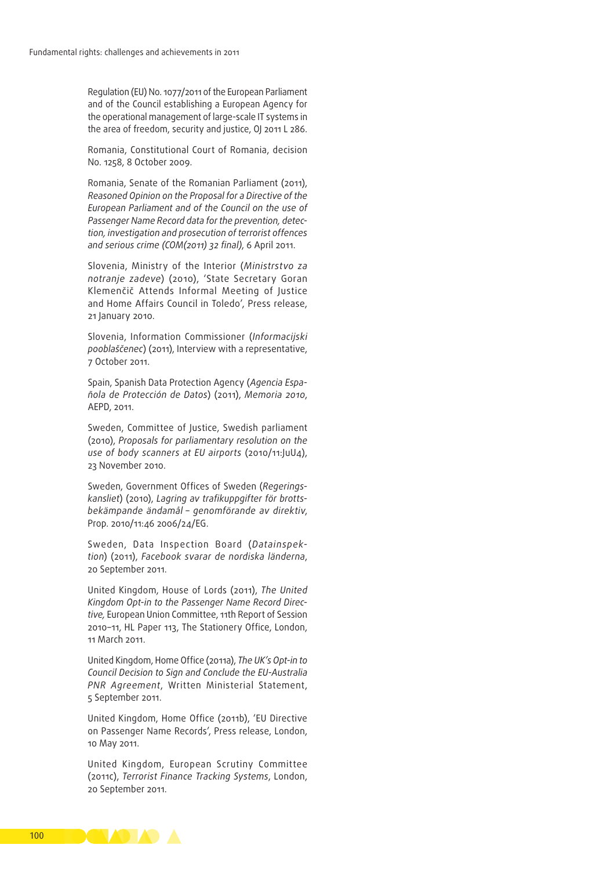Regulation (EU) No. 1077/2011 of the European Parliament and of the Council establishing a European Agency for the operational management of large‑scale IT systems in the area of freedom, security and justice, OJ 2011 L 286.

Romania, Constitutional Court of Romania, decision No. 1258, 8 October 2009.

Romania, Senate of the Romanian Parliament (2011), *Reasoned Opinion on the Proposal for a Directive of the European Parliament and of the Council on the use of Passenger Name Record data for the prevention, detec‑ tion, investigation and prosecution of terrorist offences and serious crime (COM(2011) 32 final)*, 6 April 2011.

Slovenia, Ministry of the Interior (*Ministrstvo za notranje zadeve*) (2010), 'State Secretary Goran Klemenčič Attends Informal Meeting of Justice and Home Affairs Council in Toledo', Press release, 21 January 2010.

Slovenia, Information Commissioner (*Informacijski pooblaščenec*) (2011), Interview with a representative, 7 October 2011.

Spain, Spanish Data Protection Agency (*Agencia Espa‑ ñola de Protección de Datos*) (2011), *Memoria 2010*, AEPD, 2011.

Sweden, Committee of Justice, Swedish parliament (2010), *Proposals for parliamentary resolution on the use of body scanners at EU airports* (2010/11:JuU4), 23 November 2010.

Sweden, Government Offices of Sweden (*Regerings‑ kansliet*) (2010), *Lagring av trafikuppgifter för brotts‑ bekämpande ändamål – genomförande av direktiv*, Prop. 2010/11:46 2006/24/EG.

Sweden, Data Inspection Board (*Datainspek‑ tion*) (2011), *Facebook svarar de nordiska länderna*, 20 September 2011.

United Kingdom, House of Lords (2011), *The United Kingdom Opt‑in to the Passenger Name Record Direc‑ tive,* European Union Committee, 11th Report of Session 2010–11, HL Paper 113, The Stationery Office, London, 11 March 2011.

United Kingdom, Home Office (2011a), *The UK's Opt‑in to Council Decision to Sign and Conclude the EU‑Australia PNR Agreement*, Written Ministerial Statement, 5 September 2011.

United Kingdom, Home Office (2011b), 'EU Directive on Passenger Name Records', Press release, London, 10 May 2011.

United Kingdom, European Scrutiny Committee (2011c), *Terrorist Finance Tracking Systems*, London, 20 September 2011.